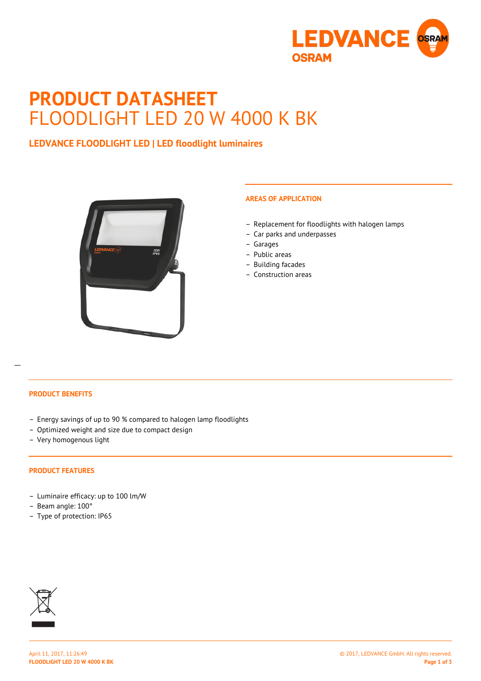

# **PRODUCT DATASHEET** FLOODLIGHT LED 20 W 4000 K BK

## **LEDVANCE FLOODLIGHT LED | LED floodlight luminaires**



## **AREAS OF APPLICATION**

- Replacement for floodlights with halogen lamps
- Car parks and underpasses
- Garages
- Public areas
- Building facades
- Construction areas

#### **PRODUCT BENEFITS**

 $\overline{a}$ 

- Energy savings of up to 90 % compared to halogen lamp floodlights
- Optimized weight and size due to compact design
- Very homogenous light

#### **PRODUCT FEATURES**

- Luminaire efficacy: up to 100 lm/W
- Beam angle: 100°
- Type of protection: IP65

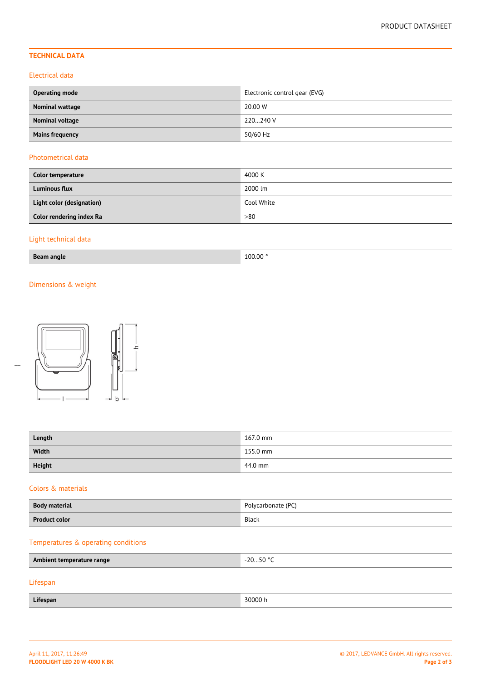## **TECHNICAL DATA**

#### Electrical data

| <b>Operating mode</b>  | Electronic control gear (EVG) |  |
|------------------------|-------------------------------|--|
| Nominal wattage        | 20.00 W                       |  |
| Nominal voltage        | 220240 V                      |  |
| <b>Mains frequency</b> | 50/60 Hz                      |  |

#### Photometrical data

| Color temperature         | 4000 K     |
|---------------------------|------------|
| <b>Luminous flux</b>      | 2000 lm    |
| Light color (designation) | Cool White |
| Color rendering index Ra  | >80        |

## Light technical data

| 100.00<br>Beam.<br>ı angle<br>__ |
|----------------------------------|
|----------------------------------|

## Dimensions & weight



| c           |
|-------------|
|             |
|             |
| $\mathsf b$ |

| Length | 167.0 mm |
|--------|----------|
| Width  | 155.0 mm |
| Height | 44.0 mm  |

#### Colors & materials

| <b>Body material</b>                | Polycarbonate (PC) |  |
|-------------------------------------|--------------------|--|
| <b>Product color</b>                | Black              |  |
| Temperatures & operating conditions |                    |  |
| Ambient temperature range           | $-2050$ °C         |  |
| Lifespan                            |                    |  |
| Lifespan                            | 30000 h            |  |